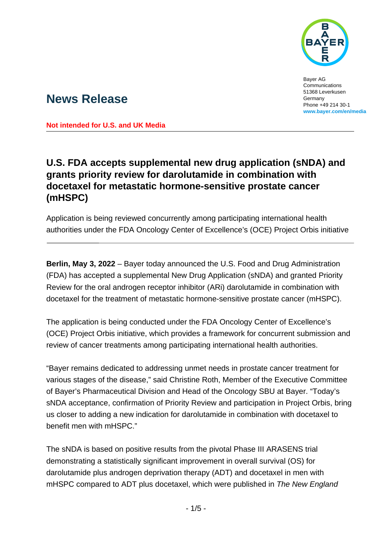

Bayer AG Communications 51368 Leverkusen Germany Phone +49 214 30-1 **[www.bayer.com/en/media](http://www.bayer.com/en/media)**

# **News Release**

**Not intended for U.S. and UK Media**

## **U.S. FDA accepts supplemental new drug application (sNDA) and grants priority review for darolutamide in combination with docetaxel for metastatic hormone-sensitive prostate cancer (mHSPC)**

Application is being reviewed concurrently among participating international health authorities under the FDA Oncology Center of Excellence's (OCE) Project Orbis initiative

**Berlin, May 3, 2022** – Bayer today announced the U.S. Food and Drug Administration (FDA) has accepted a supplemental New Drug Application (sNDA) and granted Priority Review for the oral androgen receptor inhibitor (ARi) darolutamide in combination with docetaxel for the treatment of metastatic hormone-sensitive prostate cancer (mHSPC).

The application is being conducted under the FDA Oncology Center of Excellence's (OCE) Project Orbis initiative, which provides a framework for concurrent submission and review of cancer treatments among participating international health authorities.

"Bayer remains dedicated to addressing unmet needs in prostate cancer treatment for various stages of the disease," said Christine Roth, Member of the Executive Committee of Bayer's Pharmaceutical Division and Head of the Oncology SBU at Bayer. "Today's sNDA acceptance, confirmation of Priority Review and participation in Project Orbis, bring us closer to adding a new indication for darolutamide in combination with docetaxel to benefit men with mHSPC."

The sNDA is based on positive results from the pivotal Phase III ARASENS trial demonstrating a statistically significant improvement in overall survival (OS) for darolutamide plus androgen deprivation therapy (ADT) and docetaxel in men with mHSPC compared to ADT plus docetaxel, which were published in *The New England*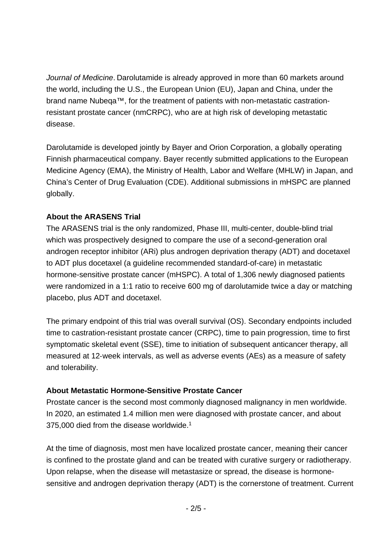*Journal of Medicine*. Darolutamide is already approved in more than 60 markets around the world, including the U.S., the European Union (EU), Japan and China, under the brand name Nubeqa™, for the treatment of patients with non-metastatic castrationresistant prostate cancer (nmCRPC), who are at high risk of developing metastatic disease.

Darolutamide is developed jointly by Bayer and Orion Corporation, a globally operating Finnish pharmaceutical company. Bayer recently submitted applications to the European Medicine Agency (EMA), the Ministry of Health, Labor and Welfare (MHLW) in Japan, and China's Center of Drug Evaluation (CDE). Additional submissions in mHSPC are planned globally.

#### **About the ARASENS Trial**

The ARASENS trial is the only randomized, Phase III, multi-center, double-blind trial which was prospectively designed to compare the use of a second-generation oral androgen receptor inhibitor (ARi) plus androgen deprivation therapy (ADT) and docetaxel to ADT plus docetaxel (a guideline recommended standard-of-care) in metastatic hormone-sensitive prostate cancer (mHSPC). A total of 1,306 newly diagnosed patients were randomized in a 1:1 ratio to receive 600 mg of darolutamide twice a day or matching placebo, plus ADT and docetaxel.

The primary endpoint of this trial was overall survival (OS). Secondary endpoints included time to castration-resistant prostate cancer (CRPC), time to pain progression, time to first symptomatic skeletal event (SSE), time to initiation of subsequent anticancer therapy, all measured at 12‐week intervals, as well as adverse events (AEs) as a measure of safety and tolerability.

#### **About Metastatic Hormone-Sensitive Prostate Cancer**

Prostate cancer is the second most commonly diagnosed malignancy in men worldwide. In 2020, an estimated 1.4 million men were diagnosed with prostate cancer, and about 375,000 died from the disease worldwide.<sup>1</sup>

At the time of diagnosis, most men have localized prostate cancer, meaning their cancer is confined to the prostate gland and can be treated with curative surgery or radiotherapy. Upon relapse, when the disease will metastasize or spread, the disease is hormonesensitive and androgen deprivation therapy (ADT) is the cornerstone of treatment. Current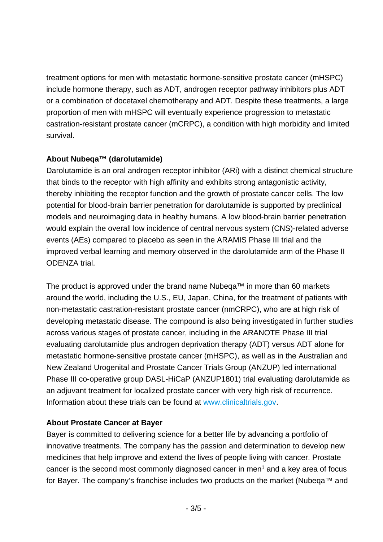treatment options for men with metastatic hormone-sensitive prostate cancer (mHSPC) include hormone therapy, such as ADT, androgen receptor pathway inhibitors plus ADT or a combination of docetaxel chemotherapy and ADT. Despite these treatments, a large proportion of men with mHSPC will eventually experience progression to metastatic castration-resistant prostate cancer (mCRPC), a condition with high morbidity and limited survival.

### **About Nubeqa™ (darolutamide)**

Darolutamide is an oral androgen receptor inhibitor (ARi) with a distinct chemical structure that binds to the receptor with high affinity and exhibits strong antagonistic activity, thereby inhibiting the receptor function and the growth of prostate cancer cells. The low potential for blood-brain barrier penetration for darolutamide is supported by preclinical models and neuroimaging data in healthy humans. A low blood-brain barrier penetration would explain the overall low incidence of central nervous system (CNS)-related adverse events (AEs) compared to placebo as seen in the ARAMIS Phase III trial and the improved verbal learning and memory observed in the darolutamide arm of the Phase II ODENZA trial.

The product is approved under the brand name Nubeqa™ in more than 60 markets around the world, including the U.S., EU, Japan, China, for the treatment of patients with non-metastatic castration-resistant prostate cancer (nmCRPC), who are at high risk of developing metastatic disease. The compound is also being investigated in further studies across various stages of prostate cancer, including in the ARANOTE Phase III trial evaluating darolutamide plus androgen deprivation therapy (ADT) versus ADT alone for metastatic hormone-sensitive prostate cancer (mHSPC), as well as in the Australian and New Zealand Urogenital and Prostate Cancer Trials Group (ANZUP) led international Phase III co-operative group DASL-HiCaP (ANZUP1801) trial evaluating darolutamide as an adjuvant treatment for localized prostate cancer with very high risk of recurrence. Information about these trials can be found at [www.clinicaltrials.gov.](https://www.clinicaltrials.gov/)

### **About Prostate Cancer at Bayer**

Bayer is committed to delivering science for a better life by advancing a portfolio of innovative treatments. The company has the passion and determination to develop new medicines that help improve and extend the lives of people living with cancer. Prostate cancer is the second most commonly diagnosed cancer in men<sup>1</sup> and a key area of focus for Bayer. The company's franchise includes two products on the market (Nubeqa™ and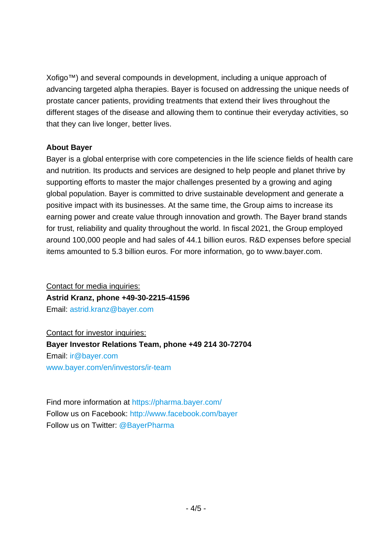Xofigo™) and several compounds in development, including a unique approach of advancing targeted alpha therapies. Bayer is focused on addressing the unique needs of prostate cancer patients, providing treatments that extend their lives throughout the different stages of the disease and allowing them to continue their everyday activities, so that they can live longer, better lives.

#### **About Bayer**

Bayer is a global enterprise with core competencies in the life science fields of health care and nutrition. Its products and services are designed to help people and planet thrive by supporting efforts to master the major challenges presented by a growing and aging global population. Bayer is committed to drive sustainable development and generate a positive impact with its businesses. At the same time, the Group aims to increase its earning power and create value through innovation and growth. The Bayer brand stands for trust, reliability and quality throughout the world. In fiscal 2021, the Group employed around 100,000 people and had sales of 44.1 billion euros. R&D expenses before special items amounted to 5.3 billion euros. For more information, go to [www.bayer.com.](http://www.bayer.com/)

Contact for media inquiries: **Astrid Kranz, phone +49-30-2215-41596** Email: [astrid.kranz@bayer.com](mailto:astrid.kranz@bayer.com)

Contact for investor inquiries: **Bayer Investor Relations Team, phone +49 214 30-72704** Email: [ir@bayer.com](mailto:ir@bayer.com) [www.bayer.com/en/investors/ir-team](https://www.bayer.com/en/investors/ir-team)

Find more information at<https://pharma.bayer.com/> Follow us on Facebook:<http://www.facebook.com/bayer> Follow us on Twitter: [@BayerPharma](https://twitter.com/bayerpharma)